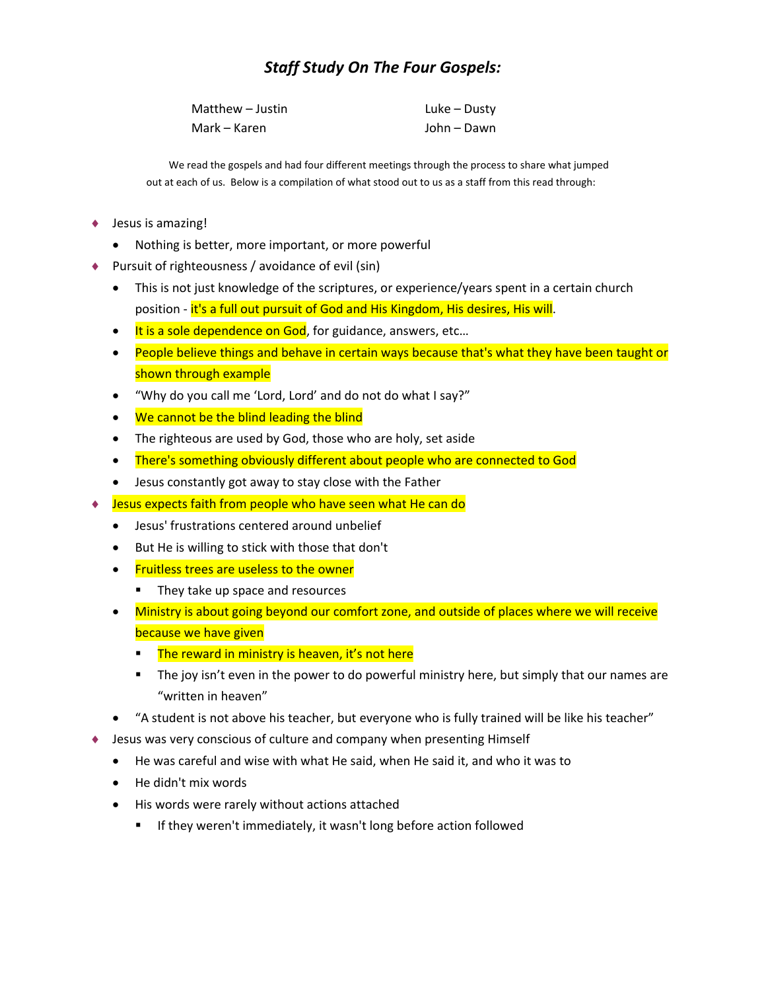## *Staff Study On The Four Gospels:*

| Matthew – Justin | Luke – Dusty |
|------------------|--------------|
| Mark – Karen     | John – Dawn  |

We read the gospels and had four different meetings through the process to share what jumped out at each of us. Below is a compilation of what stood out to us as a staff from this read through:

- ♦ Jesus is amazing!
	- Nothing is better, more important, or more powerful
- Pursuit of righteousness / avoidance of evil (sin)
	- This is not just knowledge of the scriptures, or experience/years spent in a certain church position - it's a full out pursuit of God and His Kingdom, His desires, His will.
	- It is a sole dependence on God, for guidance, answers, etc...
	- People believe things and behave in certain ways because that's what they have been taught or shown through example
	- "Why do you call me 'Lord, Lord' and do not do what I say?"
	- We cannot be the blind leading the blind
	- The righteous are used by God, those who are holy, set aside
	- There's something obviously different about people who are connected to God
	- Jesus constantly got away to stay close with the Father
- Jesus expects faith from people who have seen what He can do
	- Jesus' frustrations centered around unbelief
	- But He is willing to stick with those that don't
	- Fruitless trees are useless to the owner
		- They take up space and resources
	- Ministry is about going beyond our comfort zone, and outside of places where we will receive because we have given
		- **The reward in ministry is heaven, it's not here**
		- The joy isn't even in the power to do powerful ministry here, but simply that our names are "written in heaven"
	- "A student is not above his teacher, but everyone who is fully trained will be like his teacher"
- Jesus was very conscious of culture and company when presenting Himself
	- He was careful and wise with what He said, when He said it, and who it was to
	- He didn't mix words
	- His words were rarely without actions attached
		- **If they weren't immediately, it wasn't long before action followed**